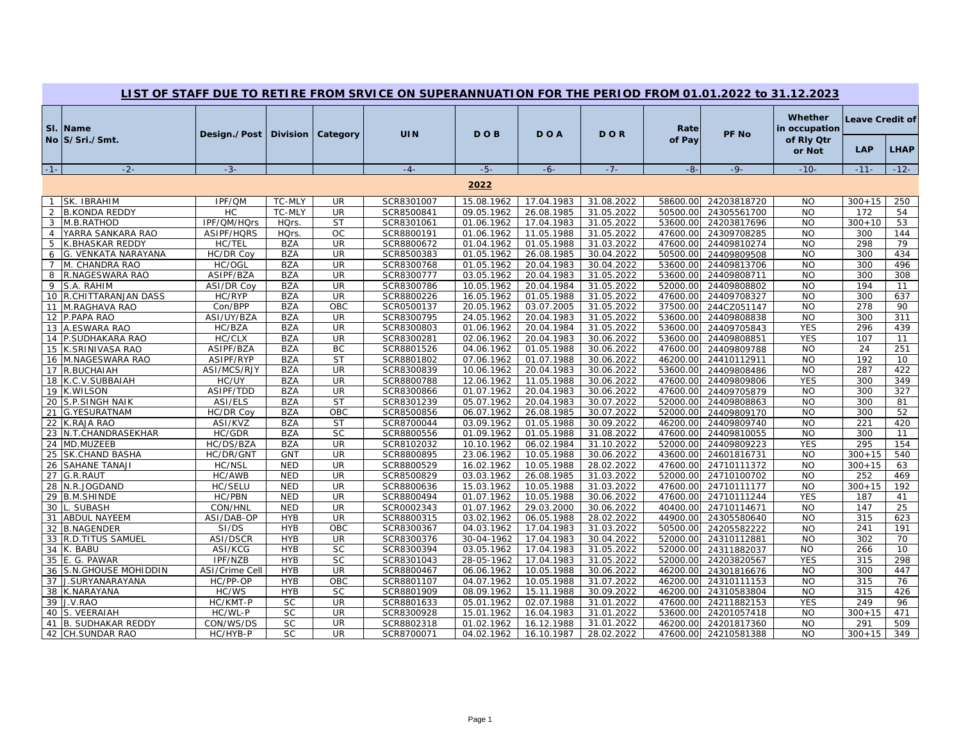|       | LIST OF STAFF DUE TO RETIRE FROM SRVICE ON SUPERANNUATION FOR THE PERIOD FROM 01.01.2022 to 31.12.2023 |                   |             |                     |            |            |            |            |                |             |                                                  |                        |             |
|-------|--------------------------------------------------------------------------------------------------------|-------------------|-------------|---------------------|------------|------------|------------|------------|----------------|-------------|--------------------------------------------------|------------------------|-------------|
|       | SI. Name<br>No S/Sri./Smt.                                                                             | Design./Post      |             | Division   Category | <b>UIN</b> | <b>DOB</b> | DOA        | <b>DOR</b> | Rate<br>of Pay | PF No       | Whether<br>in occupation<br>of Rly Qtr<br>or Not | Leave Credit of<br>LAP | <b>LHAP</b> |
|       |                                                                                                        |                   |             |                     |            |            |            |            |                |             |                                                  |                        |             |
| $-1-$ | $-2-$                                                                                                  | $-3-$             |             |                     | $-4-$      | $-5-$      | $-6-$      | $-7-$      | $-8-$          | $-9-$       | $-10-$                                           | $-11-$                 | $-12-$      |
|       |                                                                                                        |                   |             |                     |            | 2022       |            |            |                |             |                                                  |                        |             |
|       | SK. IBRAHIM                                                                                            | IPF/QM            | TC-MLY      | UR                  | SCR8301007 | 15.08.1962 | 17.04.1983 | 31.08.2022 | 58600.00       | 24203818720 | <b>NO</b>                                        | $300 + 15$             | 250         |
|       | 2 B.KONDA REDDY                                                                                        | HC                | TC-MLY      | <b>UR</b>           | SCR8500841 | 09.05.1962 | 26.08.1985 | 31.05.2022 | 50500.00       | 24305561700 | <b>NO</b>                                        | 172                    | 54          |
|       | 3 M.B.RATHOD                                                                                           | IPF/QM/HQrs       | <b>HQrs</b> | <b>ST</b>           | SCR8301061 | 01.06.1962 | 17.04.1983 | 31.05.2022 | 53600.00       | 24203817696 | <b>NO</b>                                        | $300 + 10$             | 53          |
|       | 4 YARRA SANKARA RAO                                                                                    | ASIPF/HQRS        | <b>HQrs</b> | OC                  | SCR8800191 | 01.06.1962 | 11.05.1988 | 31.05.2022 | 47600.00       | 24309708285 | <b>NO</b>                                        | 300                    | 144         |
|       | 5 K.BHASKAR REDDY                                                                                      | HC/TEL            | <b>BZA</b>  | UR                  | SCR8800672 | 01.04.1962 | 01.05.1988 | 31.03.2022 | 47600.00       | 24409810274 | <b>NO</b>                                        | 298                    | 79          |
| 6     | G. VENKATA NARAYANA                                                                                    | HC/DR Coy         | <b>BZA</b>  | <b>UR</b>           | SCR8500383 | 01.05.1962 | 26.08.1985 | 30.04.2022 | 50500.00       | 24409809508 | <b>NO</b>                                        | 300                    | 434         |
|       | 7 M. CHANDRA RAO                                                                                       | HC/OGL            | <b>BZA</b>  | UR                  | SCR8300768 | 01.05.1962 | 20.04.1983 | 30.04.2022 | 53600.00       | 24409813706 | <b>NO</b>                                        | 300                    | 496         |
|       | 8 R.NAGESWARA RAO                                                                                      | ASIPF/BZA         | <b>BZA</b>  | UR                  | SCR8300777 | 03.05.1962 | 20.04.1983 | 31.05.2022 | 53600.00       | 24409808711 | <b>NO</b>                                        | 300                    | 308         |
|       | 9 S.A. RAHIM                                                                                           | <b>ASI/DR Coy</b> | <b>BZA</b>  | <b>UR</b>           | SCR8300786 | 10.05.1962 | 20.04.1984 | 31.05.2022 | 52000.00       | 24409808802 | <b>NO</b>                                        | 194                    | 11          |
|       | 10 R.CHITTARANJAN DASS                                                                                 | HC/RYP            | <b>BZA</b>  | UR                  | SCR8800226 | 16.05.1962 | 01.05.1988 | 31.05.2022 | 47600.00       | 24409708327 | $\overline{NO}$                                  | 300                    | 637         |
|       | 11 M.RAGHAVA RAO                                                                                       | Con/BPP           | <b>BZA</b>  | OBC                 | SCR0500137 | 20.05.1962 | 03.07.2005 | 31.05.2022 | 37500.00       | 244CZ051147 | <b>NO</b>                                        | 278                    | 90          |
|       | 12 P.PAPA RAO                                                                                          | ASI/UY/BZA        | <b>BZA</b>  | <b>UR</b>           | SCR8300795 | 24.05.1962 | 20.04.1983 | 31.05.2022 | 53600.00       | 24409808838 | <b>NO</b>                                        | 300                    | 311         |
|       | 13 A.ESWARA RAO                                                                                        | HC/BZA            | <b>BZA</b>  | UR                  | SCR8300803 | 01.06.1962 | 20.04.1984 | 31.05.2022 | 53600.00       | 24409705843 | <b>YES</b>                                       | 296                    | 439         |
|       | 14 P.SUDHAKARA RAO                                                                                     | HC/CLX            | <b>BZA</b>  | UR                  | SCR8300281 | 02.06.1962 | 20.04.1983 | 30.06.2022 | 53600.00       | 24409808851 | <b>YES</b>                                       | 107                    | 11          |
|       | 15 K.SRINIVASA RAO                                                                                     | ASIPF/BZA         | <b>BZA</b>  | BC                  | SCR8801526 | 04.06.1962 | 01.05.1988 | 30.06.2022 | 47600.00       | 24409809788 | <b>NO</b>                                        | 24                     | 251         |
|       | 16 M.NAGESWARA RAO                                                                                     | ASIPF/RYP         | <b>BZA</b>  | <b>ST</b>           | SCR8801802 | 07.06.1962 | 01.07.1988 | 30.06.2022 | 46200.00       | 24410112911 | <b>NO</b>                                        | 192                    | 10          |
|       | 17 R.BUCHAIAH                                                                                          | ASI/MCS/RJY       | <b>BZA</b>  | UR                  | SCR8300839 | 10.06.1962 | 20.04.1983 | 30.06.2022 | 53600.00       | 24409808486 | <b>NO</b>                                        | 287                    | 422         |
|       | 18 K.C.V.SUBBAIAH                                                                                      | HC/UY             | <b>BZA</b>  | <b>UR</b>           | SCR8800788 | 12.06.1962 | 11.05.1988 | 30.06.2022 | 47600.00       | 24409809806 | <b>YES</b>                                       | 300                    | 349         |
|       | 19 K.WILSON                                                                                            | ASIPF/TDD         | <b>BZA</b>  | <b>UR</b>           | SCR8300866 | 01.07.1962 | 20.04.1983 | 30.06.2022 | 47600.00       | 24409705879 | <b>NO</b>                                        | 300                    | 327         |
| 20    | <b>S.P.SINGH NAIK</b>                                                                                  | ASI/ELS           | <b>BZA</b>  | <b>ST</b>           | SCR8301239 | 05.07.1962 | 20.04.1983 | 30.07.2022 | 52000.00       | 24409808863 | <b>NO</b>                                        | 300                    | 81          |
|       | 21 G.YESURATNAM                                                                                        | <b>HC/DR Coy</b>  | <b>BZA</b>  | OBC                 | SCR8500856 | 06.07.1962 | 26.08.1985 | 30.07.2022 | 52000.00       | 24409809170 | <b>NO</b>                                        | 300                    | 52          |
|       | 22 K.RAJA RAO                                                                                          | ASI/KVZ           | <b>BZA</b>  | <b>ST</b>           | SCR8700044 | 03.09.1962 | 01.05.1988 | 30.09.2022 | 46200.00       | 24409809740 | <b>NO</b>                                        | 221                    | 420         |
|       | 23 N.T.CHANDRASEKHAR                                                                                   | HC/GDR            | <b>BZA</b>  | <b>SC</b>           | SCR8800556 | 01.09.1962 | 01.05.1988 | 31.08.2022 | 47600.00       | 24409810055 | <b>NO</b>                                        | 300                    | 11          |
|       | 24 MD.MUZEEB                                                                                           | HC/DS/BZA         | <b>BZA</b>  | UR                  | SCR8102032 | 10.10.1962 | 06.02.1984 | 31.10.2022 | 52000.00       | 24409809223 | <b>YES</b>                                       | 295                    | 154         |
|       | 25 SK.CHAND BASHA                                                                                      | HC/DR/GNT         | <b>GNT</b>  | <b>UR</b>           | SCR8800895 | 23.06.1962 | 10.05.1988 | 30.06.2022 | 43600.00       | 24601816731 | <b>NO</b>                                        | $300 + 15$             | 540         |
|       | 26 SAHANE TANAJI                                                                                       | HC/NSL            | <b>NED</b>  | <b>UR</b>           | SCR8800529 | 16.02.1962 | 10.05.1988 | 28.02.2022 | 47600.00       | 24710111372 | <b>NO</b>                                        | $300 + 15$             | 63          |
|       | 27 G.R.RAUT                                                                                            | HC/AWB            | <b>NED</b>  | UR                  | SCR8500829 | 03.03.1962 | 26.08.1985 | 31.03.2022 | 52000.00       | 24710100702 | <b>NO</b>                                        | 252                    | 469         |
|       | 28 N.R.JOGDAND                                                                                         | HC/SELU           | <b>NED</b>  | <b>UR</b>           | SCR8800636 | 15.03.1962 | 10.05.1988 | 31.03.2022 | 47600.00       | 24710111177 | <b>NO</b>                                        | $300 + 15$             | 192         |
|       | 29 B.M.SHINDE                                                                                          | HC/PBN            | <b>NED</b>  | UR                  | SCR8800494 | 01.07.1962 | 10.05.1988 | 30.06.2022 | 47600.00       | 24710111244 | <b>YES</b>                                       | 187                    | 41          |
| 30    | <b>SUBASH</b>                                                                                          | CON/HNL           | <b>NED</b>  | <b>UR</b>           | SCR0002343 | 01.07.1962 | 29.03.2000 | 30.06.2022 | 40400.00       | 24710114671 | <b>NO</b>                                        | 147                    | 25          |
|       | 31 ABDUL NAYEEM                                                                                        | ASI/DAB-OP        | <b>HYB</b>  | UR                  | SCR8800315 | 03.02.1962 | 06.05.1988 | 28.02.2022 | 44900.00       | 24305580640 | <b>NO</b>                                        | 315                    | 623         |
|       | 32 B.NAGENDER                                                                                          | SI/DS             | <b>HYB</b>  | OBC                 | SCR8300367 | 04.03.1962 | 17.04.1983 | 31.03.2022 | 50500.00       | 24205582222 | <b>NO</b>                                        | 241                    | 191         |
|       | 33 R.D.TITUS SAMUEL                                                                                    | ASI/DSCR          | <b>HYB</b>  | UR                  | SCR8300376 | 30-04-1962 | 17.04.1983 | 30.04.2022 | 52000.00       | 24310112881 | <b>NO</b>                                        | 302                    | 70          |
|       | 34 K. BABU                                                                                             | ASI/KCG           | <b>HYB</b>  | <b>SC</b>           | SCR8300394 | 03.05.1962 | 17.04.1983 | 31.05.2022 | 52000.00       | 24311882037 | <b>NO</b>                                        | 266                    | 10          |
|       | 35 E. G. PAWAR                                                                                         | IPF/NZB           | <b>HYB</b>  | <b>SC</b>           | SCR8301043 | 28-05-1962 | 17.04.1983 | 31.05.2022 | 52000.00       | 24203820567 | <b>YES</b>                                       | 315                    | 298         |
|       | 36 S.N. GHOUSE MOHIDDIN                                                                                | ASI/Crime Cel     | <b>HYB</b>  | UR                  | SCR8800467 | 06.06.1962 | 10.05.1988 | 30.06.2022 | 46200.00       | 24301816676 | <b>NO</b>                                        | 300                    | 447         |
|       | 37 J.SURYANARAYANA                                                                                     | HC/PP-OP          | <b>HYB</b>  | OBC                 | SCR8801107 | 04.07.1962 | 10.05.1988 | 31.07.2022 | 46200.00       | 24310111153 | <b>NO</b>                                        | 315                    | 76          |
|       | 38 K.NARAYANA                                                                                          | HC/WS             | <b>HYB</b>  | <b>SC</b>           | SCR8801909 | 08.09.1962 | 15.11.1988 | 30.09.2022 | 46200.00       | 24310583804 | <b>NO</b>                                        | 315                    | 426         |
|       | 39 J.V.RAO                                                                                             | HC/KMT-P          | <b>SC</b>   | UR                  | SCR8801633 | 05.01.1962 | 02.07.1988 | 31.01.2022 | 47600.00       | 24211882153 | <b>YES</b>                                       | 249                    | 96          |
|       | 40 S. VEERAIAH                                                                                         | HC/WL-P           | SC          | UR                  | SCR8300928 | 15.01.1962 | 16.04.1983 | 31.01.2022 | 53600.00       | 24201057418 | <b>NO</b>                                        | $300 + 15$             | 471         |
| 41    | <b>B. SUDHAKAR REDDY</b>                                                                               | CON/WS/DS         | <b>SC</b>   | UR                  | SCR8802318 | 01.02.1962 | 16.12.1988 | 31.01.2022 | 46200.00       | 24201817360 | <b>NO</b>                                        | 291                    | 509         |
|       | 42 CH.SUNDAR RAO                                                                                       | HC/HYB-P          | <b>SC</b>   | <b>UR</b>           | SCR8700071 | 04.02.1962 | 16.10.1987 | 28.02.2022 | 47600.00       | 24210581388 | <b>NO</b>                                        | $300 + 15$             | 349         |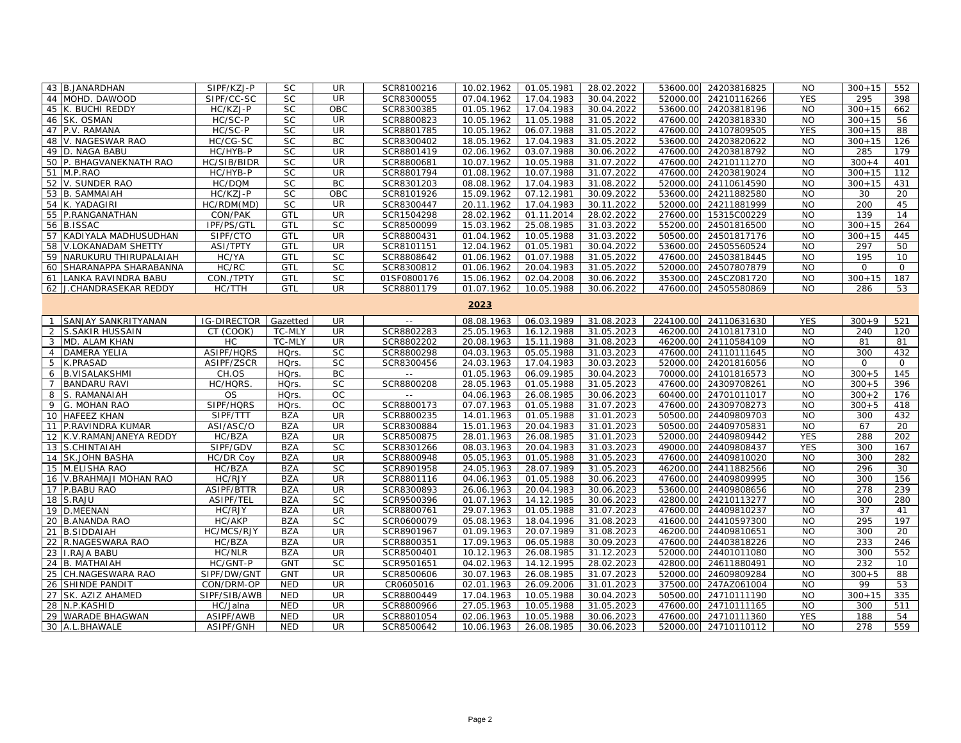|             | 43 B.JANARDHAN           | SIPF/KZJ-P         | <b>SC</b>   | <b>UR</b> | SCR8100216  | 10.02.1962 | 01.05.1981 | 28.02.2022 | 53600.00  | 24203816825          | <b>NO</b>  | $300 + 15$  | 552          |
|-------------|--------------------------|--------------------|-------------|-----------|-------------|------------|------------|------------|-----------|----------------------|------------|-------------|--------------|
|             | 44 MOHD, DAWOOD          | SIPF/CC-SC         | <b>SC</b>   | <b>UR</b> | SCR8300055  | 07.04.1962 | 17.04.1983 | 30.04.2022 | 52000.00  | 24210116266          | <b>YES</b> | 295         | 398          |
|             | 45 K. BUCHI REDDY        | HC/KZJ-P           | <b>SC</b>   | OBC       | SCR8300385  | 01.05.1962 | 17.04.1983 | 30.04.2022 | 53600.00  | 24203818196          | <b>NO</b>  | $300 + 15$  | 662          |
| 46          | SK. OSMAN                | HC/SC-P            | <b>SC</b>   | UR        | SCR8800823  | 10.05.1962 | 11.05.1988 | 31.05.2022 | 47600.00  | 24203818330          | <b>NO</b>  | $300 + 15$  | 56           |
|             | 47 P.V. RAMANA           | HC/SC-P            | <b>SC</b>   | UR        | SCR8801785  | 10.05.1962 | 06.07.1988 | 31.05.2022 | 47600.00  | 24107809505          | <b>YES</b> | $300 + 15$  | 88           |
|             | 48 V. NAGESWAR RAO       | HC/CG-SC           | <b>SC</b>   | BC        | SCR8300402  | 18.05.1962 | 17.04.1983 | 31.05.2022 | 53600.00  | 24203820622          | <b>NO</b>  | $300 + 15$  | 126          |
|             | 49 D. NAGA BABU          | HC/HYB-P           | <b>SC</b>   | <b>UR</b> | SCR8801419  | 02.06.1962 | 03.07.1988 | 30.06.2022 | 47600.00  | 24203818792          | <b>NO</b>  | 285         | 179          |
|             | 50 P. BHAGVANEKNATH RAO  | HC/SIB/BIDR        | <b>SC</b>   | UR        | SCR8800681  | 10.07.1962 | 10.05.1988 | 31.07.2022 | 47600.00  | 24210111270          | <b>NO</b>  | $300 + 4$   | 401          |
|             | 51 M.P.RAO               | HC/HYB-P           | <b>SC</b>   | UR        | SCR8801794  | 01.08.1962 | 10.07.1988 | 31.07.2022 | 47600.00  | 24203819024          | <b>NO</b>  | $300 + 15$  | 112          |
|             | 52 V. SUNDER RAO         | HC/DQM             | <b>SC</b>   | BC        | SCR8301203  | 08.08.1962 | 17.04.1983 | 31.08.2022 | 52000.00  | 24110614590          | <b>NO</b>  | $300 + 15$  | 431          |
|             | 53 B. SAMMAIAH           | HC/KZJ-P           | <b>SC</b>   | OBC       | SCR8101926  | 15.09.1962 | 07.12.1981 | 30.09.2022 | 53600.00  | 24211882580          | <b>NO</b>  | 30          | 20           |
|             | 54 K. YADAGIRI           | HC/RDM(MD)         | <b>SC</b>   | <b>UR</b> | SCR8300447  | 20.11.1962 | 17.04.1983 | 30.11.2022 | 52000.00  | 24211881999          | <b>NO</b>  | 200         | 45           |
|             | 55 P.RANGANATHAN         | CON/PAK            | GTL         | UR        | SCR1504298  | 28.02.1962 | 01.11.2014 | 28.02.2022 | 27600.00  | 15315C00229          | <b>NO</b>  | 139         | 14           |
|             | 56 B.ISSAC               | IPF/PS/GTI         | GTL         | <b>SC</b> | SCR8500099  | 15.03.1962 | 25.08.1985 | 31.03.2022 | 55200.00  | 24501816500          | <b>NO</b>  | $300 + 15$  | 264          |
|             | 57 KADIYALA MADHUSUDHAN  | SIPF/CTO           | GTL         | UR        | SCR8800431  | 01.04.1962 | 10.05.1988 | 31.03.2022 |           | 50500.00 24501817176 | <b>NO</b>  | $300 + 15$  | 445          |
|             | 58 V.LOKANADAM SHETTY    | <b>ASI/TPTY</b>    | GTL         | <b>UR</b> | SCR8101151  | 12.04.1962 | 01.05.1981 | 30.04.2022 |           | 53600.00 24505560524 | <b>NO</b>  | 297         | 50           |
|             | 59 NARUKURU THIRUPALAIAH | HC/YA              | GTL         | <b>SC</b> | SCR8808642  | 01.06.1962 | 01.07.1988 | 31.05.2022 | 47600.00  | 24503818445          | <b>NO</b>  | 195         | 10           |
| 60          | SHARANAPPA SHARABANNA    | HC/RC              | GTL         | SC        | SCR8300812  | 01.06.1962 | 20.04.1983 | 31.05.2022 | 52000.00  | 24507807879          | <b>NO</b>  | $\mathbf 0$ | $\mathbf 0$  |
|             | 61 LANKA RAVINDRA BABU   | CON./TPTY          | GTL         | <b>SC</b> | 01SF0800176 | 15.06.1962 | 02.04.2008 | 30.06.2022 | 35300.00  | 245CZ081720          | <b>NO</b>  | $300 + 15$  | 187          |
|             | 62 J.CHANDRASEKAR REDDY  | HC/TTH             | GTL         | <b>UR</b> | SCR8801179  | 01.07.1962 | 10.05.1988 | 30.06.2022 | 47600.00  | 24505580869          | <b>NO</b>  | 286         | 53           |
|             |                          |                    |             |           |             | 2023       |            |            |           |                      |            |             |              |
|             |                          |                    |             |           |             |            |            |            |           |                      |            |             |              |
|             | SANJAY SANKRITYANAN      | <b>IG-DIRECTOR</b> | Gazetted    | UR        | $- -$       | 08.08.1963 | 06.03.1989 | 31.08.2023 | 224100.00 | 24110631630          | <b>YES</b> | $300 + 9$   | 521          |
|             | 2 S. SAKIR HUSSAIN       | CT (COOK)          | TC-MLY      | <b>UR</b> | SCR8802283  | 25.05.1963 | 16.12.1988 | 31.05.2023 |           | 46200.00 24101817310 | <b>NO</b>  | 240         | 120          |
|             | 3 MD. ALAM KHAN          | HC                 | TC-MLY      | UR        | SCR8802202  | 20.08.1963 | 15.11.1988 | 31.08.2023 |           | 46200.00 24110584109 | <b>NO</b>  | 81          | 81           |
|             | 4 DAMERA YELIA           | ASIPF/HQRS         | HQrs.       | SC        | SCR8800298  | 04.03.1963 | 05.05.1988 | 31.03.2023 | 47600.00  | 24110111645          | <b>NO</b>  | 300         | 432          |
|             | 5 K.PRASAD               | ASIPF/ZSCR         | HQrs.       | SC        | SCR8300456  | 24.03.1963 | 17.04.1983 | 30.03.2023 | 52000.00  | 24201816056          | <b>NO</b>  | $\circ$     | $\mathbf{O}$ |
| 6           | <b>B.VISALAKSHMI</b>     | CH.OS              | HQrs.       | BC        |             | 01.05.1963 | 06.09.1985 | 30.04.2023 | 70000.00  | 24101816573          | <b>NO</b>  | $300 + 5$   | 145          |
| $7^{\circ}$ | <b>BANDARU RAVI</b>      | HC/HQRS            | <b>HQrs</b> | <b>SC</b> | SCR8800208  | 28.05.1963 | 01.05.1988 | 31.05.2023 | 47600.00  | 24309708261          | <b>NO</b>  | $300 + 5$   | 396          |
| 8           | S. RAMANAIAH             | OS                 | <b>HOrs</b> | <b>OC</b> |             | 04.06.1963 | 26.08.1985 | 30.06.2023 | 60400.00  | 24701011017          | <b>NO</b>  | $300 + 2$   | 176          |
|             | 9 G. MOHAN RAO           | SIPF/HQRS          | HQrs.       | OC        | SCR8800173  | 07.07.1963 | 01.05.1988 | 31.07.2023 | 47600.00  | 24309708273          | <b>NO</b>  | $300 + 5$   | 418          |
|             | 10 HAFEEZ KHAN           | SIPF/TTT           | <b>BZA</b>  | UR        | SCR8800235  | 14.01.1963 | 01.05.1988 | 31.01.2023 | 50500.00  | 24409809703          | <b>NO</b>  | 300         | 432          |
|             | 11 P.RAVINDRA KUMAR      | ASI/ASC/O          | <b>BZA</b>  | UR        | SCR8300884  | 15.01.1963 | 20.04.1983 | 31.01.2023 | 50500.00  | 24409705831          | <b>NO</b>  | 67          | 20           |
|             | 12 K.V.RAMANJANEYA REDDY | HC/BZA             | <b>BZA</b>  | <b>UR</b> | SCR8500875  | 28.01.1963 | 26.08.1985 | 31.01.2023 | 52000.00  | 24409809442          | <b>YES</b> | 288         | 202          |
|             | 13 S.CHINTAIAH           | SIPF/GDV           | <b>BZA</b>  | <b>SC</b> | SCR8301266  | 08.03.1963 | 20.04.1983 | 31.03.2023 | 49000.00  | 24409808437          | <b>YES</b> | 300         | 167          |
|             | 14 SK.JOHN BASHA         | <b>HC/DR Coy</b>   | <b>BZA</b>  | <b>UR</b> | SCR8800948  | 05.05.1963 | 01.05.1988 | 31.05.2023 | 47600.00  | 24409810020          | <b>NO</b>  | 300         | 282          |
|             | 15 M.ELISHA RAO          | HC/BZA             | <b>BZA</b>  | SC        | SCR8901958  | 24.05.1963 | 28.07.1989 | 31.05.2023 | 46200.00  | 24411882566          | <b>NO</b>  | 296         | 30           |
|             | 16 V.BRAHMAJI MOHAN RAO  | HC/RJY             | <b>BZA</b>  | <b>UR</b> | SCR8801116  | 04.06.1963 | 01.05.1988 | 30.06.2023 | 47600.00  | 24409809995          | <b>NO</b>  | 300         | 156          |
|             | 17 P.BABU RAO            | ASIPF/BTTR         | <b>BZA</b>  | <b>UR</b> | SCR8300893  | 26.06.1963 | 20.04.1983 | 30.06.2023 | 53600.00  | 24409808656          | <b>NO</b>  | 278         | 239          |
|             | 18 S.RAJU                | ASIPF/TEL          | <b>BZA</b>  | <b>SC</b> | SCR9500396  | 01.07.1963 | 14.12.1985 | 30.06.2023 | 42800.00  | 24210113277          | <b>NO</b>  | 300         | 280          |
|             | 19 D.MEENAN              | HC/RJY             | <b>BZA</b>  | UR        | SCR8800761  | 29.07.1963 | 01.05.1988 | 31.07.2023 | 47600.00  | 24409810237          | <b>NO</b>  | 37          | 41           |
|             | 20 B.ANANDA RAO          | HC/AKP             | <b>BZA</b>  | <b>SC</b> | SCR0600079  | 05.08.1963 | 18.04.1996 | 31.08.2023 | 41600.00  | 24410597300          | <b>NO</b>  | 295         | 197          |
| 21          | <b>B.SIDDAIAH</b>        | HC/MCS/RJY         | <b>BZA</b>  | <b>UR</b> | SCR8901967  | 01.09.1963 | 20.07.1989 | 31.08.2023 | 46200.00  | 24409810651          | <b>NO</b>  | 300         | 20           |
| 22          | R.NAGESWARA RAO          | HC/BZA             | <b>BZA</b>  | UR        | SCR8800351  | 17.09.1963 | 06.05.1988 | 30.09.2023 | 47600.00  | 24403818226          | <b>NO</b>  | 233         | 246          |
|             | 23 I.RAJA BABU           | HC/NLR             | <b>BZA</b>  | UR        | SCR8500401  | 10.12.1963 | 26.08.1985 | 31.12.2023 | 52000.00  | 24401011080          | <b>NO</b>  | 300         | 552          |
|             | 24 B. MATHAIAH           | HC/GNT-P           | <b>GNT</b>  | <b>SC</b> | SCR9501651  | 04.02.1963 | 14.12.1995 | 28.02.2023 | 42800.00  | 24611880491          | <b>NO</b>  | 232         | 10           |
|             | 25 CH.NAGESWARA RAO      | SIPF/DW/GNT        | <b>GNT</b>  | UR        | SCR8500606  | 30.07.1963 | 26.08.1985 | 31.07.2023 | 52000.00  | 24609809284          | <b>NO</b>  | $300 + 5$   | 88           |
|             | 26 SHINDE PANDIT         | CON/DRM-OP         | <b>NED</b>  | UR        | CR0605016   | 02.01.1963 | 26.09.2006 | 31.01.2023 | 37500.00  | 247AZ061004          | <b>NO</b>  | 99          | 53           |
| 27          | SK. AZIZ AHAMED          | SIPF/SIB/AWB       | <b>NED</b>  | UR        | SCR8800449  | 17.04.1963 | 10.05.1988 | 30.04.2023 | 50500.00  | 24710111190          | <b>NO</b>  | $300 + 15$  | 335          |
|             | 28 N.P.KASHID            | HC/Jalna           | <b>NED</b>  | UR        | SCR8800966  | 27.05.1963 | 10.05.1988 | 31.05.2023 | 47600.00  | 24710111165          | <b>NO</b>  | 300         | 511          |
| 29          | <b>WARADE BHAGWAN</b>    | ASIPF/AWB          | <b>NED</b>  | UR        | SCR8801054  | 02.06.1963 | 10.05.1988 | 30.06.2023 | 47600.00  | 24710111360          | <b>YES</b> | 188         | 54           |
|             | 30 A.L.BHAWALE           | ASIPF/GNH          | <b>NED</b>  | UR        | SCR8500642  | 10.06.1963 | 26.08.1985 | 30.06.2023 |           | 52000.00 24710110112 | <b>NO</b>  | 278         | 559          |